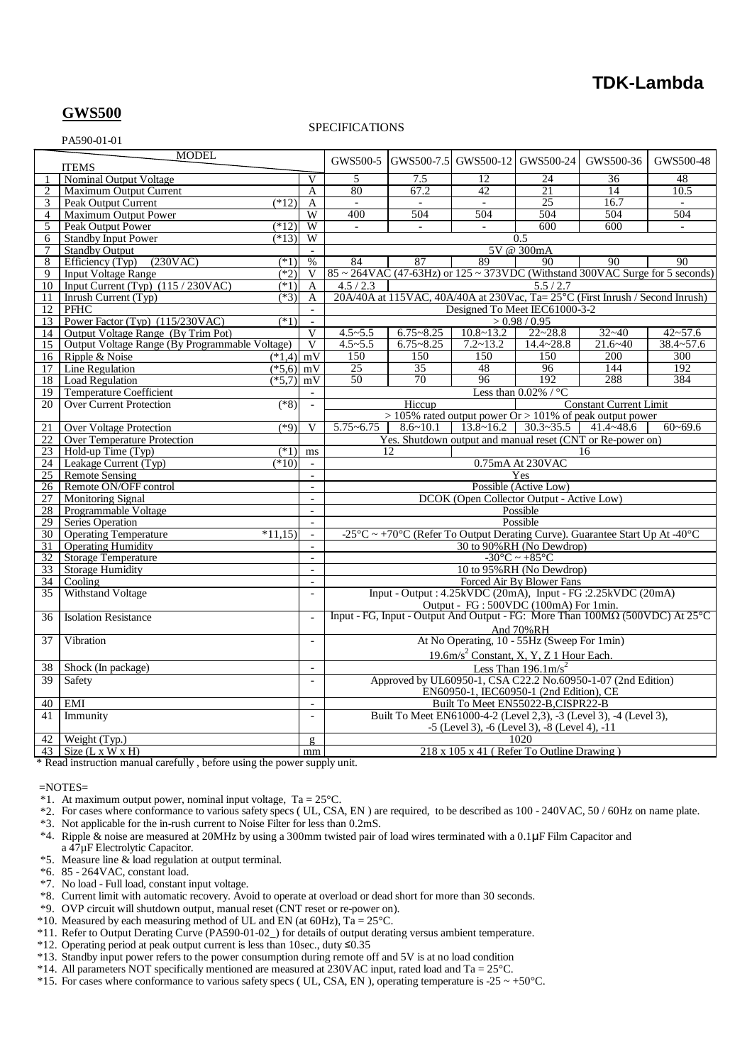# **TDK-Lambda**

## **GWS500** PA590-01-01

#### SPECIFICATIONS

| <b>MODEL</b><br><b>ITEMS</b> |                                                          |                          |                                                                                                                        | GWS500-5 GWS500-7.5 GWS500-12 GWS500-24 |               |                                                    | GWS500-36                                                                                              | GWS500-48     |
|------------------------------|----------------------------------------------------------|--------------------------|------------------------------------------------------------------------------------------------------------------------|-----------------------------------------|---------------|----------------------------------------------------|--------------------------------------------------------------------------------------------------------|---------------|
| 1                            | <b>Nominal Output Voltage</b>                            | V                        | 5                                                                                                                      | 7.5                                     | 12            | 24                                                 | $\overline{36}$                                                                                        | 48            |
| $\overline{2}$               | <b>Maximum Output Current</b>                            | $\overline{A}$           | 80                                                                                                                     | 67.2                                    | 42            | 21                                                 | 14                                                                                                     | 10.5          |
| 3                            | Peak Output Current<br>$(*12)$                           | A                        | $\sim$                                                                                                                 | $\sim$                                  | $\sim$        | 25                                                 | 16.7                                                                                                   | $\sim$        |
| $\overline{4}$               | <b>Maximum Output Power</b>                              | W                        | 400                                                                                                                    | 504                                     | 504           | 504                                                | 504                                                                                                    | 504           |
| 5                            | Peak Output Power<br>$(*12)$                             | W                        |                                                                                                                        |                                         |               | 600                                                | 600                                                                                                    |               |
| 6                            | <b>Standby Input Power</b><br>$(*13)$                    | W                        | 0.5                                                                                                                    |                                         |               |                                                    |                                                                                                        |               |
| $\tau$                       | <b>Standby Output</b>                                    | $\overline{a}$           | 5V @ 300mA                                                                                                             |                                         |               |                                                    |                                                                                                        |               |
| $\overline{8}$               | Efficiency (Typ)<br>(230VAC)<br>$(*1)$                   | $\%$                     | 89<br>84<br>87<br>90<br>90<br>90                                                                                       |                                         |               |                                                    |                                                                                                        |               |
| 9                            | <b>Input Voltage Range</b><br>$(*2)$                     | V                        |                                                                                                                        |                                         |               |                                                    | $85 \sim 264 \text{VAC}$ (47-63Hz) or $125 \sim 373 \text{VDC}$ (Withstand 300VAC Surge for 5 seconds) |               |
| 10                           | Input Current $(Typ)$ $(115 / 230 \text{VAC})$<br>$(*1)$ | $\mathbf{A}$             | 4.5/2.3<br>5.5/2.7                                                                                                     |                                         |               |                                                    |                                                                                                        |               |
| 11                           | Inrush Current (Typ)<br>$(*3)$                           | A                        | 20A/40A at 115VAC, 40A/40A at 230Vac, Ta= 25°C (First Inrush / Second Inrush)                                          |                                         |               |                                                    |                                                                                                        |               |
| 12                           | <b>PFHC</b>                                              | $\blacksquare$           | Designed To Meet IEC61000-3-2                                                                                          |                                         |               |                                                    |                                                                                                        |               |
| 13                           | $(*1)$<br>Power Factor (Typ) (115/230VAC)                | $\mathbb{L}^2$           | > 0.98 / 0.95                                                                                                          |                                         |               |                                                    |                                                                                                        |               |
| 14                           | Output Voltage Range (By Trim Pot)                       | V                        | $4.5 - 5.5$                                                                                                            | $6.75 - 8.25$                           | $10.8 - 13.2$ | $22 - 28.8$                                        | $32 - 40$                                                                                              | $42 - 57.6$   |
| 15                           | Output Voltage Range (By Programmable Voltage)           | $\overline{\mathbf{V}}$  | $4.5 - 5.5$                                                                                                            | $6.75 - 8.25$                           | $7.2 - 13.2$  | $14.4 - 28.8$                                      | $21.6 - 40$                                                                                            | $38.4 - 57.6$ |
| 16                           | Ripple & Noise<br>$(*1,4)$ mV                            |                          | 150                                                                                                                    | 150                                     | 150           | 150                                                | 200                                                                                                    | 300           |
| 17                           | Line Regulation<br>$(*5,6)$ mV                           |                          | 25                                                                                                                     | 35                                      | 48            | 96                                                 | 144                                                                                                    | 192           |
| 18                           | <b>Load Regulation</b><br>$(*5,7)$ mV                    |                          | $\overline{50}$                                                                                                        | $\overline{70}$                         | 96            | 192                                                | 288                                                                                                    | 384           |
| 19                           | <b>Temperature Coefficient</b>                           | $\sim$                   | Less than $0.02\%$ / °C                                                                                                |                                         |               |                                                    |                                                                                                        |               |
| 20                           | <b>Over Current Protection</b><br>$(*8)$                 |                          | <b>Constant Current Limit</b><br>Hiccup                                                                                |                                         |               |                                                    |                                                                                                        |               |
|                              |                                                          |                          | $> 105\%$ rated output power Or $> 101\%$ of peak output power                                                         |                                         |               |                                                    |                                                                                                        |               |
| 21                           | $(*9)$<br><b>Over Voltage Protection</b>                 | $\overline{\mathbf{V}}$  | $5.75 - 6.75$                                                                                                          | $8.6 \sim 10.1$                         |               | $13.8 \sim 16.2$ $30.3 \sim 35.5$ $41.4 \sim 48.6$ |                                                                                                        | $60 - 69.6$   |
| 22                           | <b>Over Temperature Protection</b>                       |                          |                                                                                                                        |                                         |               |                                                    | Yes. Shutdown output and manual reset (CNT or Re-power on)                                             |               |
| 23                           | Hold-up Time (Typ)<br>(1)                                | ms                       | 12<br>16                                                                                                               |                                         |               |                                                    |                                                                                                        |               |
| 24                           | Leakage Current (Typ)<br>$(*10)$                         | $\sim$                   | 0.75mA At 230VAC                                                                                                       |                                         |               |                                                    |                                                                                                        |               |
| 25                           | <b>Remote Sensing</b>                                    | $\mathbb{L}$             | Yes                                                                                                                    |                                         |               |                                                    |                                                                                                        |               |
| 26                           | Remote ON/OFF control                                    | $\mathbf{r}$             | Possible (Active Low)                                                                                                  |                                         |               |                                                    |                                                                                                        |               |
| 27                           | <b>Monitoring Signal</b>                                 | $\mathbf{r}$             | DCOK (Open Collector Output - Active Low)                                                                              |                                         |               |                                                    |                                                                                                        |               |
| 28                           | Programmable Voltage                                     | $\mathbf{r}$             | Possible                                                                                                               |                                         |               |                                                    |                                                                                                        |               |
| 29                           | Series Operation                                         | $\overline{a}$           | Possible                                                                                                               |                                         |               |                                                    |                                                                                                        |               |
| 30                           | <b>Operating Temperature</b><br>$*11.15$                 | $\mathcal{L}$            | -25 °C ~ +70 °C (Refer To Output Derating Curve). Guarantee Start Up At -40 °C                                         |                                         |               |                                                    |                                                                                                        |               |
| $\overline{31}$              | <b>Operating Humidity</b>                                | $\sim$                   | 30 to 90%RH (No Dewdrop)                                                                                               |                                         |               |                                                    |                                                                                                        |               |
| 32                           | <b>Storage Temperature</b>                               | $\mathbf{r}$             | $-30^{\circ}$ C ~ $+85^{\circ}$ C                                                                                      |                                         |               |                                                    |                                                                                                        |               |
| 33                           | <b>Storage Humidity</b>                                  | $\overline{a}$           | 10 to 95%RH (No Dewdrop)                                                                                               |                                         |               |                                                    |                                                                                                        |               |
| 34                           | Cooling                                                  | $\frac{1}{2}$            | Forced Air By Blower Fans                                                                                              |                                         |               |                                                    |                                                                                                        |               |
| 35                           | Withstand Voltage                                        | $\overline{\phantom{a}}$ | Input - Output : $4.25$ kVDC (20mA), Input - FG : $2.25$ kVDC (20mA)                                                   |                                         |               |                                                    |                                                                                                        |               |
| 36                           | <b>Isolation Resistance</b>                              | $\overline{a}$           | Output - FG : 500VDC (100mA) For 1min.<br>Input - FG, Input - Output And Output - FG: More Than 100MΩ (500VDC) At 25°C |                                         |               |                                                    |                                                                                                        |               |
|                              |                                                          |                          |                                                                                                                        |                                         |               | And 70%RH                                          |                                                                                                        |               |
| 37                           | Vibration                                                | $\overline{\phantom{a}}$ | At No Operating, 10 - 55Hz (Sweep For 1min)<br>19.6m/s <sup>2</sup> Constant, X, Y, Z 1 Hour Each.                     |                                         |               |                                                    |                                                                                                        |               |
| 38                           | Shock (In package)                                       | $\bar{a}$                | Less Than $196.1 \text{m/s}^2$                                                                                         |                                         |               |                                                    |                                                                                                        |               |
| 39                           | Safety                                                   | $\overline{a}$           | Approved by UL60950-1, CSA C22.2 No.60950-1-07 (2nd Edition)                                                           |                                         |               |                                                    |                                                                                                        |               |
|                              |                                                          |                          | EN60950-1, IEC60950-1 (2nd Edition), CE                                                                                |                                         |               |                                                    |                                                                                                        |               |
| 40                           | <b>EMI</b>                                               | $\blacksquare$           | Built To Meet EN55022-B, CISPR22-B                                                                                     |                                         |               |                                                    |                                                                                                        |               |
| 41                           | Immunity                                                 | $\overline{\phantom{a}}$ | Built To Meet EN61000-4-2 (Level 2,3), -3 (Level 3), -4 (Level 3),                                                     |                                         |               |                                                    |                                                                                                        |               |
|                              |                                                          |                          | -5 (Level 3), -6 (Level 3), -8 (Level 4), -11                                                                          |                                         |               |                                                    |                                                                                                        |               |
| 42                           | Weight $(Typ.)$                                          | $\mathfrak{g}$           | 1020<br>218 x 105 x 41 (Refer To Outline Drawing)                                                                      |                                         |               |                                                    |                                                                                                        |               |
|                              | 43 Size $(L x W x H)$                                    | mm                       |                                                                                                                        |                                         |               |                                                    |                                                                                                        |               |

\* Read instruction manual carefully , before using the power supply unit.

 $=$ NOTES $=$ 

- \*1. At maximum output power, nominal input voltage,  $Ta = 25^{\circ}C$ .
- \*2. For cases where conformance to various safety specs ( UL, CSA, EN ) are required, to be described as 100 240VAC, 50 / 60Hz on name plate. \*3. Not applicable for the in-rush current to Noise Filter for less than 0.2mS.
- 
- \*4. Ripple & noise are measured at 20MHz by using a 300mm twisted pair of load wires terminated with a 0.1µF Film Capacitor and a 47µF Electrolytic Capacitor.
- \*5. Measure line & load regulation at output terminal.
- \*6. 85 264VAC, constant load.
- \*7. No load Full load, constant input voltage.
- \*8. Current limit with automatic recovery. Avoid to operate at overload or dead short for more than 30 seconds.
- \*9. OVP circuit will shutdown output, manual reset (CNT reset or re-power on).
- \*10. Measured by each measuring method of UL and EN (at 60Hz), Ta =  $25^{\circ}$ C.
- \*11. Refer to Output Derating Curve (PA590-01-02\_) for details of output derating versus ambient temperature.
- \*12. Operating period at peak output current is less than 10sec., duty ≤0.35
- \*13. Standby input power refers to the power consumption during remote off and 5V is at no load condition
- $*14$ . All parameters NOT specifically mentioned are measured at 230VAC input, rated load and Ta = 25 $^{\circ}$ C.
- $*15$ . For cases where conformance to various safety specs ( UL, CSA, EN ), operating temperature is -25 ~ +50°C.